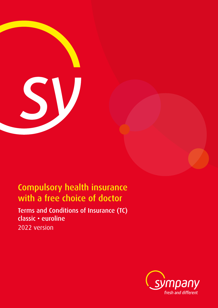

# Compulsory health insurance with a free choice of doctor

Terms and Conditions of Insurance (TC) classic • euroline 2022 version

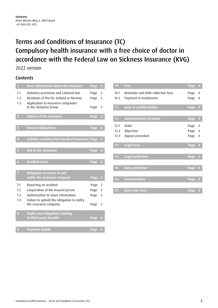## Terms and Conditions of Insurance (TC) Compulsory health insurance with a free choice of doctor in accordance with the Federal Law on Sickness Insurance (KVG)

2022 version

### **Contents**

| 1                 | <b>Basic information about the insurance</b>                                                                                                  | Page         | 3                       |
|-------------------|-----------------------------------------------------------------------------------------------------------------------------------------------|--------------|-------------------------|
| 1.1<br>1.2<br>1.3 | Statutory provisions and cantonal law<br>Residents of the EU, Iceland or Norway<br>Application to insurance companies<br>in the Sympany Group | Page<br>Page | 3<br>3                  |
|                   |                                                                                                                                               | Page         | 3                       |
| $\overline{2}$    | <b>Subject of the insurance</b>                                                                                                               | Page         | 3                       |
| 3                 | <b>General obligations</b>                                                                                                                    | Page         | 3                       |
| $\overline{4}$    | Liability resulting from medical treatment Page                                                                                               |              | 3                       |
| 5                 | <b>End of the insurance</b>                                                                                                                   | Page         | 3                       |
| $\overline{6}$    | <b>Accident cover</b>                                                                                                                         | <b>Page</b>  | $\overline{\mathbf{3}}$ |
| $\overline{I}$    | Obligation to report to and<br>notify the insurance company                                                                                   | Page         | 3                       |
| 7.1               | Reporting an accident                                                                                                                         | Page         | 3                       |
| 7.2               | Cooperation of the insured person                                                                                                             | Page         | 3                       |
| 7.3<br>7.4        | Authorisation to share information<br>Failure to uphold the obligation to notify                                                              | Page         | 3                       |
|                   | the insurance company                                                                                                                         | Page         | 3                       |
| 8                 | <b>Rights and obligations relating</b><br>to third-party benefits                                                                             | Page         | 3                       |
|                   |                                                                                                                                               |              |                         |
| 9                 | <b>Payment details</b>                                                                                                                        | Page         | 3                       |

| 10   | <b>Fees</b>                       | Page | $\overline{\mathbf{4}}$ |
|------|-----------------------------------|------|-------------------------|
| 10.1 | Reminder and debt collection fees | Page | $\overline{4}$          |
| 10.2 | Payment in instalments            | Page | $\overline{4}$          |
| 11   | <b>Duty of confidentiality</b>    | Page | $\overline{4}$          |
|      |                                   |      |                         |
| 12   | <b>Administration of justice</b>  | Page | $\overline{4}$          |
| 12.1 | Order                             | Page | 4                       |
| 12.2 | Objection                         | Page | $\overline{4}$          |
| 12.3 | Appeal procedure                  | Page | 4                       |
|      |                                   |      |                         |
| 13   | <b>Legal force</b>                | Page | $\overline{\mathbf{r}}$ |
|      |                                   |      |                         |
| 14   | <b>Legal protection</b>           | Page | $\overline{\mathbf{4}}$ |
|      |                                   |      |                         |
| 15   | <b>Data protection</b>            | Page | $\overline{\mathbf{4}}$ |
|      |                                   |      |                         |
| 16   | <b>Interpretation</b>             | Page | $\overline{\mathbf{4}}$ |
|      |                                   |      |                         |
| 17   | <b>Entry into force</b>           | Page | $\overline{4}$          |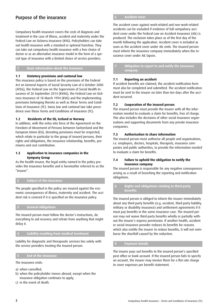## Purpose of the insurance

Compulsory health insurance covers the costs of diagnosis and treatment in the case of illness, accident and maternity under the Federal Law on Sickness Insurance (KVG). Policyholders can take out health insurance with a standard or optional franchise. They can take out compulsory health insurance with a free choice of doctor or as an alternative insurance model in the form of a special type of insurance with a limited choice of service providers.

#### **1 Basic information about the insurance**

#### **1.1 Statutory provisions and cantonal law**

This insurance policy is based on the provisions of the Federal Act on General Aspects of Social Security Law of 6 October 2000 (ATSG), the Federal Law on the Supervision of Social Health Insurance of 26 September 2014 (KVAG), the Federal Law on Sickness Insurance of 18 March 1994 (KVG) and the implementing provisions belonging thereto as well as these Terms and Conditions of Insurance (TC). Swiss law and cantonal law take precedence over these Terms and Conditions of Insurance (TC).

#### **1.2 Residents of the EU, Iceland or Norway**

In addition, with the entry into force of the Agreement on the Freedom of Movement of Persons between Switzerland and the European Union (EU), deviating provisions must be respected, which relate in particular to the group of insured persons, their rights and obligations, the insurance relationship, benefits, premiums and cost contribution.

#### **1.3 Application to insurance companies in the Sympany Group**

As the health insurer, the legal entity named in the policy provides the insurance benefits and is hereinafter referred to as the "insurer".

#### **2 Subject of the insurance**

The people specified in the policy are insured against the economic consequences of illness, maternity and accident. The accident risk is covered if it is specified on the insurance policy.

#### **3 General obligations**

The insured person must follow the doctor's instructions, do everything to aid recovery and refrain from anything that might delay it.

#### **4 Liability resulting from medical treatment**

Liability for diagnostic and therapeutic services lies solely with the service providers treating the insured person.

#### **5 End of the insurance**

The insurance ends:

- a) when cancelled,
- b) when the policyholder moves abroad, except when the insurance obligation continues to apply,
- c) in the event of death.

**6 Accident cover**

The accident cover against work-related and non-work-related accidents can be excluded if evidence of full compulsory accident cover under the Federal Law on Accident Insurance (AIL) is produced. The exclusion takes place as of the first day of the month following the application. Accident cover is included as soon as the accident cover under AIL ends. The insured person must inform the insurance company immediately when the insurance cover under AIL lapses.

**7 Obligation to report to and notify the insurance company**

#### **7.1 Reporting an accident**

If accident benefits are claimed, the accident notification form must also be completed and submitted. The accident notification must be sent to the insurer no later than ten days after the accident occurred.

#### **7.2 Cooperation of the insured person**

The insured person must provide the insurer with all the information needed to evaluate a claim for benefits, free of charge. This also includes the decisions of other social insurance organisations and supporting documents from any private insurance companies.

#### **7.3 Authorisation to share information**

The insured person must authorise all people and organisations, i.e. employers, doctors, hospitals, therapists, insurance companies and public authorities, to provide the information needed to evaluate a claim for benefits.

#### **7.4 Failure to uphold the obligation to notify the insurance company**

The insured person is responsible for any negative consequences arising as a result of breaching the reporting and notification obligations.

#### **8 Rights and obligations relating to third-party benefits**

The insured person is obliged to inform the insurer immediately about any third-party benefits (e.g. accident, third-party liability, military or disability insurance) and settlement agreements if it must pay benefits in the same insurance case. The insured person may not waive third-party benefits wholly or partially without the insurer's express permission. If another health, accident or social insurance provider reduces its benefits for reasons which also entitle the insurer to reduce benefits, it will not reimburse the shortfall caused by the reduction.

#### **9 Payment details**

The insurer pays out benefits to the insured person's specified post office or bank account. If the insured person fails to specify an account, the insurer may invoice them for a flat rate charge to cover expenses per benefit statement.